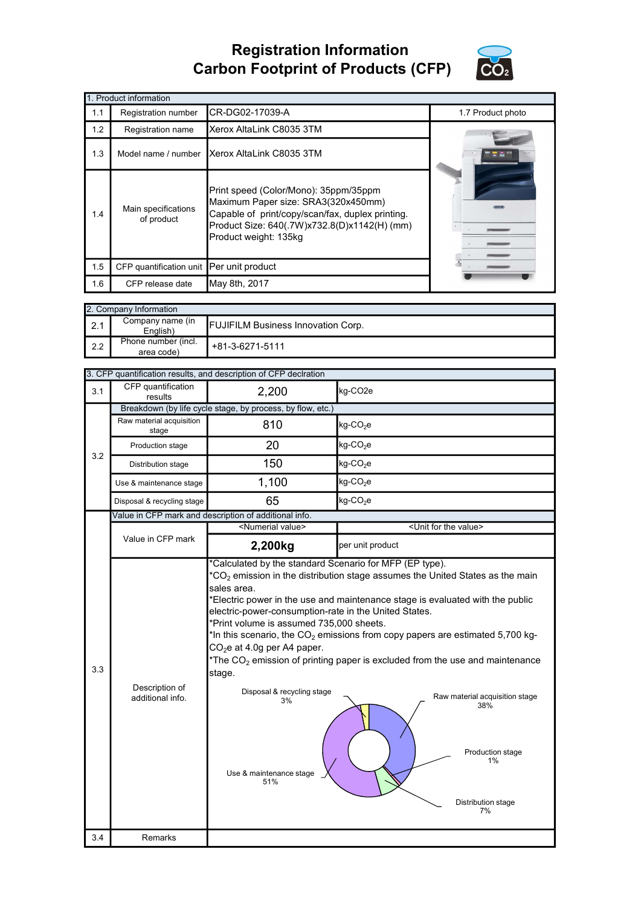## Registration Information Carbon Footprint of Products (CFP)



|     | 1. Product information                   |                                                                                                                                                                                                           |                   |
|-----|------------------------------------------|-----------------------------------------------------------------------------------------------------------------------------------------------------------------------------------------------------------|-------------------|
| 1.1 | Registration number                      | CR-DG02-17039-A                                                                                                                                                                                           | 1.7 Product photo |
| 1.2 | Registration name                        | Xerox AltaLink C8035 3TM                                                                                                                                                                                  |                   |
| 1.3 | Model name / number                      | IXerox AltaLink C8035 3TM                                                                                                                                                                                 |                   |
| 1.4 | Main specifications<br>of product        | Print speed (Color/Mono): 35ppm/35ppm<br>Maximum Paper size: SRA3(320x450mm)<br>Capable of print/copy/scan/fax, duplex printing.<br>Product Size: 640(.7W)x732.8(D)x1142(H) (mm)<br>Product weight: 135kg |                   |
| 1.5 | CFP quantification unit Per unit product |                                                                                                                                                                                                           |                   |
| 1.6 | CFP release date                         | May 8th, 2017                                                                                                                                                                                             |                   |

|     | 2. Company Information            |                                           |
|-----|-----------------------------------|-------------------------------------------|
| 2.1 | Company name (in<br>English)      | <b>FUJIFILM Business Innovation Corp.</b> |
| 2.2 | Phone number (incl.<br>area code) | +81-3-6271-5111                           |

| CFP quantification<br>2,200<br>kg-CO <sub>2e</sub><br>3.1<br>results<br>Breakdown (by life cycle stage, by process, by flow, etc.)<br>Raw material acquisition<br>kg-CO <sub>2</sub> e<br>810<br>stage<br>20<br>$kg$ -CO <sub>2</sub> e<br>Production stage<br>3.2<br>150<br>$kg$ -CO <sub>2</sub> e<br>Distribution stage<br>1,100<br>$kg$ -CO <sub>2</sub> e<br>Use & maintenance stage<br>65<br>kg-CO <sub>2</sub> e<br>Disposal & recycling stage<br>Value in CFP mark and description of additional info.<br><numerial value=""><br/><unit for="" the="" value=""><br/>Value in CFP mark<br/>2,200kg<br/>per unit product<br/>*Calculated by the standard Scenario for MFP (EP type).<br/><math>^*CO_2</math> emission in the distribution stage assumes the United States as the main<br/>sales area.<br/>Electric power in the use and maintenance stage is evaluated with the public<br/>electric-power-consumption-rate in the United States.<br/>*Print volume is assumed 735,000 sheets.<br/>*In this scenario, the <math>CO2</math> emissions from copy papers are estimated 5,700 kg-<br/><math>CO2e</math> at 4.0g per A4 paper.<br/>*The <math>CO2</math> emission of printing paper is excluded from the use and maintenance<br/>3.3<br/>stage.<br/>Description of<br/>Disposal &amp; recycling stage<br/>Raw material acquisition stage<br/>additional info.<br/>3%<br/>38%<br/>Production stage<br/>1%<br/>Use &amp; maintenance stage<br/>51%<br/>Distribution stage<br/>7%</unit></numerial> |     |         | 3. CFP quantification results, and description of CFP declration |  |
|------------------------------------------------------------------------------------------------------------------------------------------------------------------------------------------------------------------------------------------------------------------------------------------------------------------------------------------------------------------------------------------------------------------------------------------------------------------------------------------------------------------------------------------------------------------------------------------------------------------------------------------------------------------------------------------------------------------------------------------------------------------------------------------------------------------------------------------------------------------------------------------------------------------------------------------------------------------------------------------------------------------------------------------------------------------------------------------------------------------------------------------------------------------------------------------------------------------------------------------------------------------------------------------------------------------------------------------------------------------------------------------------------------------------------------------------------------------------------------------------------------------|-----|---------|------------------------------------------------------------------|--|
|                                                                                                                                                                                                                                                                                                                                                                                                                                                                                                                                                                                                                                                                                                                                                                                                                                                                                                                                                                                                                                                                                                                                                                                                                                                                                                                                                                                                                                                                                                                  |     |         |                                                                  |  |
|                                                                                                                                                                                                                                                                                                                                                                                                                                                                                                                                                                                                                                                                                                                                                                                                                                                                                                                                                                                                                                                                                                                                                                                                                                                                                                                                                                                                                                                                                                                  |     |         |                                                                  |  |
|                                                                                                                                                                                                                                                                                                                                                                                                                                                                                                                                                                                                                                                                                                                                                                                                                                                                                                                                                                                                                                                                                                                                                                                                                                                                                                                                                                                                                                                                                                                  |     |         |                                                                  |  |
|                                                                                                                                                                                                                                                                                                                                                                                                                                                                                                                                                                                                                                                                                                                                                                                                                                                                                                                                                                                                                                                                                                                                                                                                                                                                                                                                                                                                                                                                                                                  |     |         |                                                                  |  |
|                                                                                                                                                                                                                                                                                                                                                                                                                                                                                                                                                                                                                                                                                                                                                                                                                                                                                                                                                                                                                                                                                                                                                                                                                                                                                                                                                                                                                                                                                                                  |     |         |                                                                  |  |
|                                                                                                                                                                                                                                                                                                                                                                                                                                                                                                                                                                                                                                                                                                                                                                                                                                                                                                                                                                                                                                                                                                                                                                                                                                                                                                                                                                                                                                                                                                                  |     |         |                                                                  |  |
|                                                                                                                                                                                                                                                                                                                                                                                                                                                                                                                                                                                                                                                                                                                                                                                                                                                                                                                                                                                                                                                                                                                                                                                                                                                                                                                                                                                                                                                                                                                  |     |         |                                                                  |  |
|                                                                                                                                                                                                                                                                                                                                                                                                                                                                                                                                                                                                                                                                                                                                                                                                                                                                                                                                                                                                                                                                                                                                                                                                                                                                                                                                                                                                                                                                                                                  |     |         |                                                                  |  |
|                                                                                                                                                                                                                                                                                                                                                                                                                                                                                                                                                                                                                                                                                                                                                                                                                                                                                                                                                                                                                                                                                                                                                                                                                                                                                                                                                                                                                                                                                                                  |     |         |                                                                  |  |
|                                                                                                                                                                                                                                                                                                                                                                                                                                                                                                                                                                                                                                                                                                                                                                                                                                                                                                                                                                                                                                                                                                                                                                                                                                                                                                                                                                                                                                                                                                                  |     |         |                                                                  |  |
|                                                                                                                                                                                                                                                                                                                                                                                                                                                                                                                                                                                                                                                                                                                                                                                                                                                                                                                                                                                                                                                                                                                                                                                                                                                                                                                                                                                                                                                                                                                  |     |         |                                                                  |  |
|                                                                                                                                                                                                                                                                                                                                                                                                                                                                                                                                                                                                                                                                                                                                                                                                                                                                                                                                                                                                                                                                                                                                                                                                                                                                                                                                                                                                                                                                                                                  | 3.4 | Remarks |                                                                  |  |